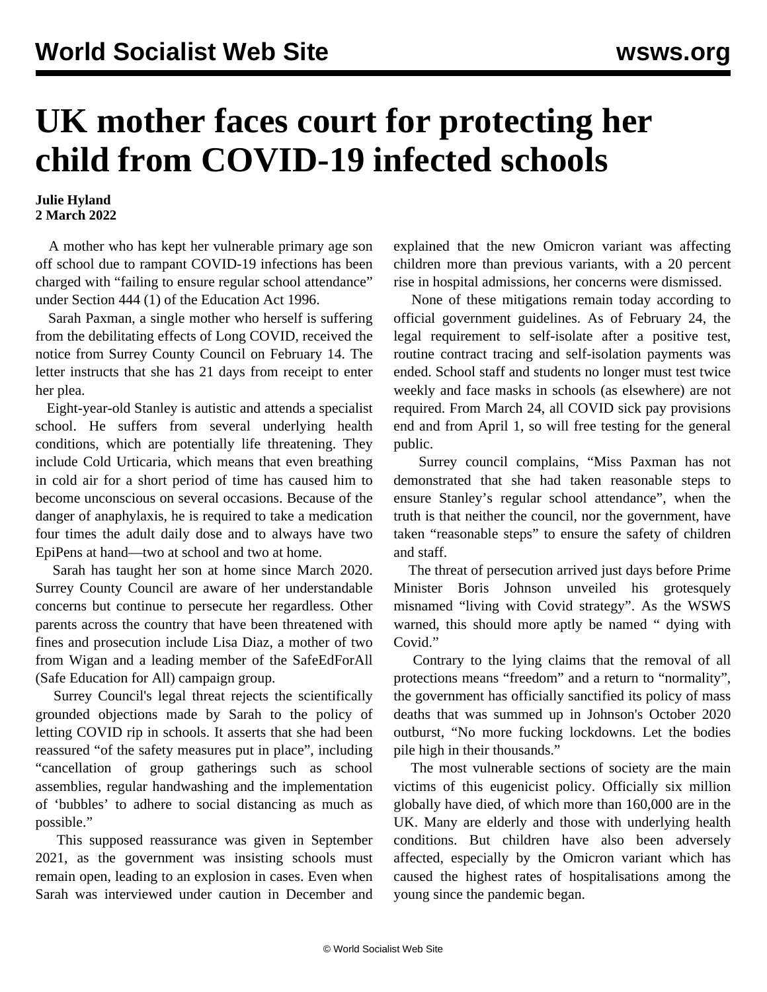## **UK mother faces court for protecting her child from COVID-19 infected schools**

## **Julie Hyland 2 March 2022**

 A mother who has kept her vulnerable primary age son off school due to rampant COVID-19 infections has been charged with "failing to ensure regular school attendance" under Section 444 (1) of the Education Act 1996.

 Sarah Paxman, a single mother who herself is suffering from the debilitating effects of Long COVID, received the notice from Surrey County Council on February 14. The letter instructs that she has 21 days from receipt to enter her plea.

 Eight-year-old Stanley is autistic and attends a specialist school. [He suffers from several underlying health](/en/articles/2021/12/17/sara-d17.html) [conditions](/en/articles/2021/12/17/sara-d17.html), which are potentially life threatening. They include Cold Urticaria, which means that even breathing in cold air for a short period of time has caused him to become unconscious on several occasions. Because of the danger of anaphylaxis, he is required to take a medication four times the adult daily dose and to always have two EpiPens at hand—two at school and two at home.

 Sarah has taught her son at home since March 2020. Surrey County Council are aware of her understandable concerns but continue to persecute her regardless. Other parents across the country that have been threatened with fines and prosecution include [Lisa Diaz](/en/articles/2021/12/03/diaz-d03.html), a mother of two from Wigan and a leading member of the SafeEdForAll (Safe Education for All) campaign group.

 Surrey Council's legal threat rejects the scientifically grounded objections made by Sarah to the policy of letting COVID rip in schools. It asserts that she had been reassured "of the safety measures put in place", including "cancellation of group gatherings such as school assemblies, regular handwashing and the implementation of 'bubbles' to adhere to social distancing as much as possible."

 This supposed reassurance was given in September 2021, as the government was insisting schools must remain open, leading to an explosion in cases. Even when Sarah was interviewed under caution in December and

explained that the new Omicron variant was affecting children more than previous variants, with a 20 percent rise in hospital admissions, her concerns were dismissed.

 None of these mitigations remain today according to official government guidelines. As of February 24, the legal requirement to self-isolate after a positive test, routine contract tracing and self-isolation payments was ended. School staff and students no longer must test twice weekly and face masks in schools (as elsewhere) are not required. From March 24, all COVID sick pay provisions end and from April 1, so will free testing for the general public.

 Surrey council complains, "Miss Paxman has not demonstrated that she had taken reasonable steps to ensure Stanley's regular school attendance", when the truth is that neither the council, nor the government, have taken "reasonable steps" to ensure the safety of children and staff.

 The threat of persecution arrived just days before Prime Minister Boris Johnson unveiled his grotesquely misnamed "living with Covid strategy". As the WSWS warned, this should more aptly be named ["](/en/articles/2022/02/22/couk-f22.html) dying with Covid."

 Contrary to the lying claims that the removal of all protections means "freedom" and a return to "normality", the government has officially sanctified its policy of mass deaths that was summed up in Johnson's October 2020 outburst, "No more fucking lockdowns. Let the bodies pile high in their thousands."

 The most vulnerable sections of society are the main victims of this eugenicist policy. Officially six million globally have died, of which more than 160,000 are in the UK. Many are elderly and those with underlying health conditions. But children have also been adversely affected, especially by the Omicron variant which has caused the highest rates of hospitalisations among the young since the pandemic began.